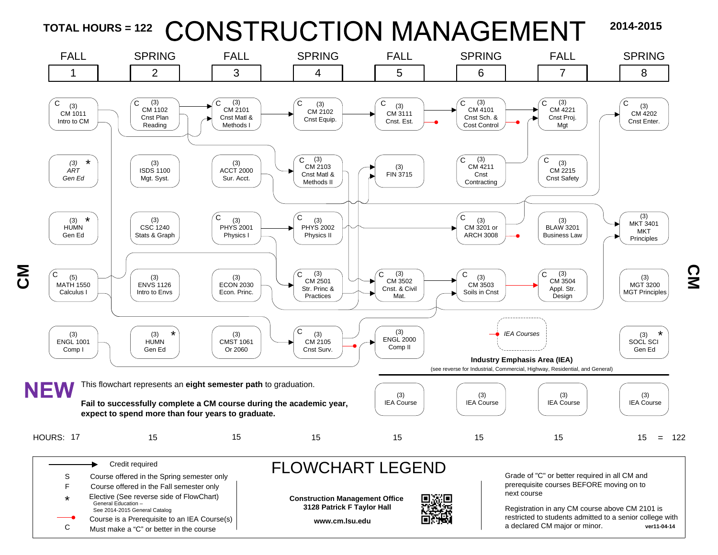

**www.cm.lsu.edu**

Course is a Prerequisite to an IEA Course(s)

Must make a "C" or better in the course

Registration in any CM course above CM 2101 is restricted to students admitted to a senior college with a declared CM major or minor. **ver11-04-14**

**Q** 

 $\sum_{i=1}^{\infty}$ 

C